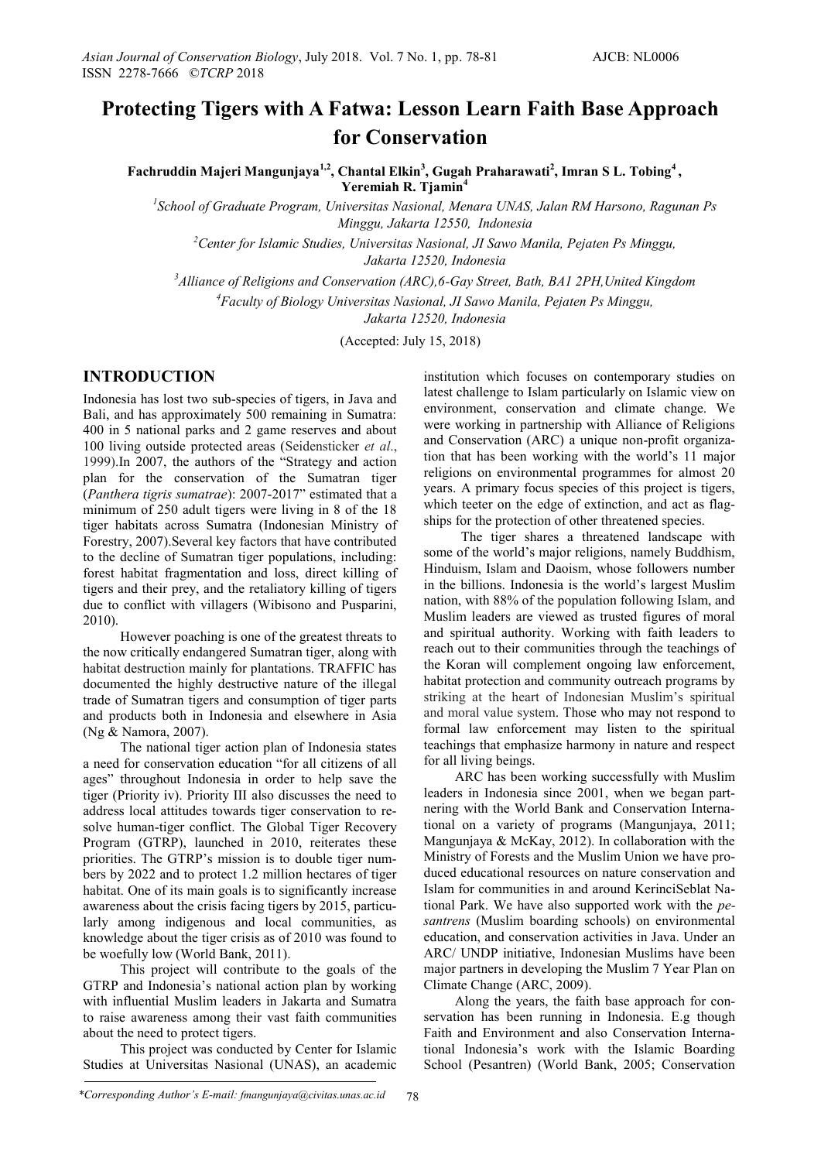# **Protecting Tigers with A Fatwa: Lesson Learn Faith Base Approach for Conservation**

**Fachruddin Majeri Mangunjaya1,2, Chantal Elkin<sup>3</sup> , Gugah Praharawati<sup>2</sup> , Imran S L. Tobing<sup>4</sup> , Yeremiah R. Tjamin<sup>4</sup>**

*1 School of Graduate Program, Universitas Nasional, Menara UNAS, Jalan RM Harsono, Ragunan Ps Minggu, Jakarta 12550, Indonesia*

*<sup>2</sup>Center for Islamic Studies, Universitas Nasional, JI Sawo Manila, Pejaten Ps Minggu, Jakarta 12520, Indonesia*

*<sup>3</sup>Alliance of Religions and Conservation (ARC),6-Gay Street, Bath, BA1 2PH,United Kingdom*

*<sup>4</sup>Faculty of Biology Universitas Nasional, JI Sawo Manila, Pejaten Ps Minggu,* 

*Jakarta 12520, Indonesia*

(Accepted: July 15, 2018)

## **INTRODUCTION**

Indonesia has lost two sub-species of tigers, in Java and Bali, and has approximately 500 remaining in Sumatra: 400 in 5 national parks and 2 game reserves and about 100 living outside protected areas (Seidensticker *et al*., 1999).In 2007, the authors of the "Strategy and action plan for the conservation of the Sumatran tiger (*Panthera tigris sumatrae*): 2007-2017" estimated that a minimum of 250 adult tigers were living in 8 of the 18 tiger habitats across Sumatra (Indonesian Ministry of Forestry, 2007).Several key factors that have contributed to the decline of Sumatran tiger populations, including: forest habitat fragmentation and loss, direct killing of tigers and their prey, and the retaliatory killing of tigers due to conflict with villagers (Wibisono and Pusparini, 2010).

However poaching is one of the greatest threats to the now critically endangered Sumatran tiger, along with habitat destruction mainly for plantations. TRAFFIC has documented the highly destructive nature of the illegal trade of Sumatran tigers and consumption of tiger parts and products both in Indonesia and elsewhere in Asia (Ng & Namora, 2007).

The national tiger action plan of Indonesia states a need for conservation education "for all citizens of all ages" throughout Indonesia in order to help save the tiger (Priority iv). Priority III also discusses the need to address local attitudes towards tiger conservation to resolve human-tiger conflict. The Global Tiger Recovery Program (GTRP), launched in 2010, reiterates these priorities. The GTRP's mission is to double tiger numbers by 2022 and to protect 1.2 million hectares of tiger habitat. One of its main goals is to significantly increase awareness about the crisis facing tigers by 2015, particularly among indigenous and local communities, as knowledge about the tiger crisis as of 2010 was found to be woefully low (World Bank, 2011).

This project will contribute to the goals of the GTRP and Indonesia's national action plan by working with influential Muslim leaders in Jakarta and Sumatra to raise awareness among their vast faith communities about the need to protect tigers.

This project was conducted by Center for Islamic Studies at Universitas Nasional (UNAS), an academic

institution which focuses on contemporary studies on latest challenge to Islam particularly on Islamic view on environment, conservation and climate change. We were working in partnership with Alliance of Religions and Conservation (ARC) a unique non-profit organization that has been working with the world's 11 major religions on environmental programmes for almost 20 years. A primary focus species of this project is tigers, which teeter on the edge of extinction, and act as flagships for the protection of other threatened species.

The tiger shares a threatened landscape with some of the world's major religions, namely Buddhism, Hinduism, Islam and Daoism, whose followers number in the billions. Indonesia is the world's largest Muslim nation, with 88% of the population following Islam, and Muslim leaders are viewed as trusted figures of moral and spiritual authority. Working with faith leaders to reach out to their communities through the teachings of the Koran will complement ongoing law enforcement, habitat protection and community outreach programs by striking at the heart of Indonesian Muslim's spiritual and moral value system. Those who may not respond to formal law enforcement may listen to the spiritual teachings that emphasize harmony in nature and respect for all living beings.

ARC has been working successfully with Muslim leaders in Indonesia since 2001, when we began partnering with the World Bank and Conservation International on a variety of programs (Mangunjaya, 2011; Mangunjaya & McKay, 2012). In collaboration with the Ministry of Forests and the Muslim Union we have produced educational resources on nature conservation and Islam for communities in and around KerinciSeblat National Park. We have also supported work with the *pesantrens* (Muslim boarding schools) on environmental education, and conservation activities in Java. Under an ARC/ UNDP initiative, Indonesian Muslims have been major partners in developing the Muslim 7 Year Plan on Climate Change (ARC, 2009).

Along the years, the faith base approach for conservation has been running in Indonesia. E.g though Faith and Environment and also Conservation International Indonesia's work with the Islamic Boarding School (Pesantren) (World Bank, 2005; Conservation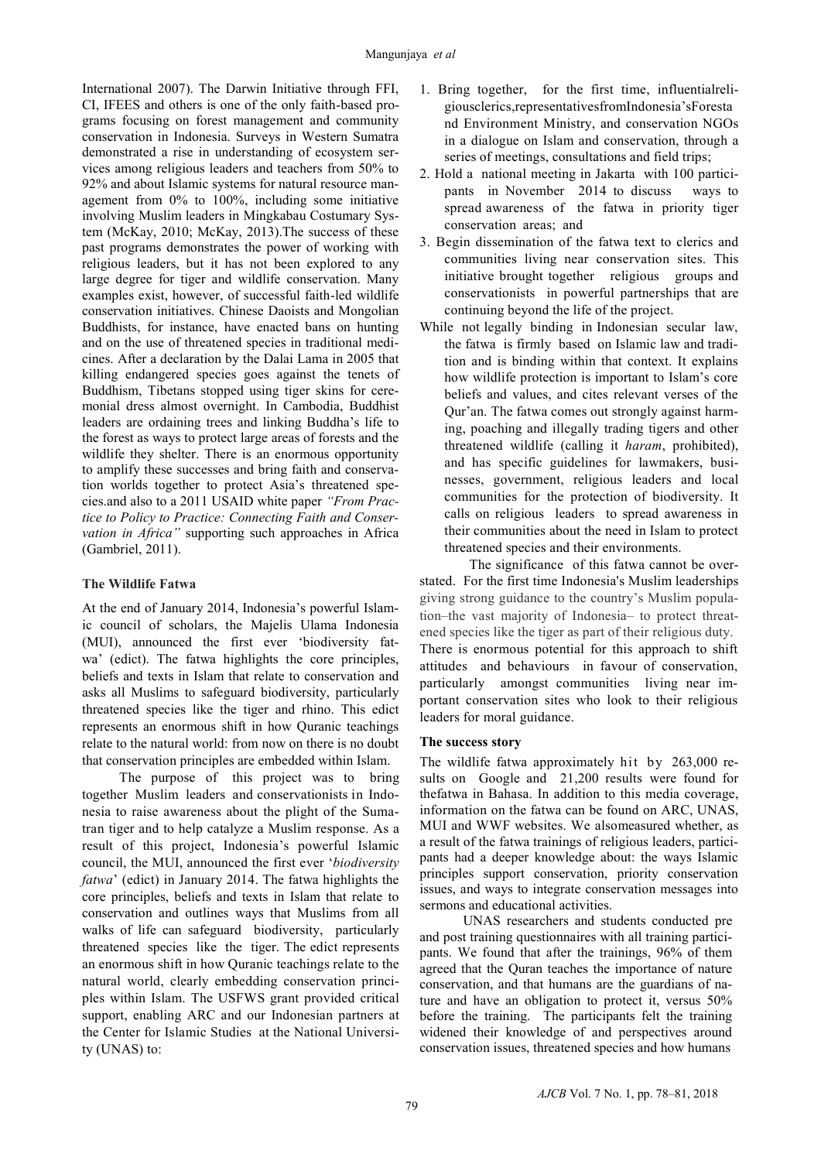International 2007). The Darwin Initiative through FFI, CI, IFEES and others is one of the only faith-based programs focusing on forest management and community conservation in Indonesia. Surveys in Western Sumatra demonstrated a rise in understanding of ecosystem services among religious leaders and teachers from 50% to 92% and about Islamic systems for natural resource management from 0% to 100%, including some initiative involving Muslim leaders in Mingkabau Costumary System (McKay, 2010; McKay, 2013).The success of these past programs demonstrates the power of working with religious leaders, but it has not been explored to any large degree for tiger and wildlife conservation. Many examples exist, however, of successful faith-led wildlife conservation initiatives. Chinese Daoists and Mongolian Buddhists, for instance, have enacted bans on hunting and on the use of threatened species in traditional medicines. After a declaration by the Dalai Lama in 2005 that killing endangered species goes against the tenets of Buddhism, Tibetans stopped using tiger skins for ceremonial dress almost overnight. In Cambodia, Buddhist leaders are ordaining trees and linking Buddha's life to the forest as ways to protect large areas of forests and the wildlife they shelter. There is an enormous opportunity to amplify these successes and bring faith and conservation worlds together to protect Asia's threatened species.and also to a 2011 USAID white paper *"From Practice to Policy to Practice: Connecting Faith and Conservation in Africa"* supporting such approaches in Africa (Gambriel, 2011).

### **The Wildlife Fatwa**

At the end of January 2014, Indonesia's powerful Islamic council of scholars, the Majelis Ulama Indonesia (MUI), announced the first ever 'biodiversity fatwa' (edict). The fatwa highlights the core principles, beliefs and texts in Islam that relate to conservation and asks all Muslims to safeguard biodiversity, particularly threatened species like the tiger and rhino. This edict represents an enormous shift in how Quranic teachings relate to the natural world: from now on there is no doubt that conservation principles are embedded within Islam.

The purpose of this project was to bring together Muslim leaders and conservationists in Indonesia to raise awareness about the plight of the Sumatran tiger and to help catalyze a Muslim response. As a result of this project, Indonesia's powerful Islamic council, the MUI, announced the first ever '*biodiversity fatwa*' (edict) in January 2014. The fatwa highlights the core principles, beliefs and texts in Islam that relate to conservation and outlines ways that Muslims from all walks of life can safeguard biodiversity, particularly threatened species like the tiger. The edict represents an enormous shift in how Quranic teachings relate to the natural world, clearly embedding conservation principles within Islam. The USFWS grant provided critical support, enabling ARC and our Indonesian partners at the Center for Islamic Studies at the National University (UNAS) to:

- 1. Bring together, for the first time, influentialreligiousclerics,representativesfromIndonesia'sForesta nd Environment Ministry, and conservation NGOs in a dialogue on Islam and conservation, through a series of meetings, consultations and field trips;
- 2. Hold a national meeting in Jakarta with 100 participants in November 2014 to discuss ways to spread awareness of the fatwa in priority tiger conservation areas; and
- 3. Begin dissemination of the fatwa text to clerics and communities living near conservation sites. This initiative brought together religious groups and conservationists in powerful partnerships that are continuing beyond the life of the project.
- While not legally binding in Indonesian secular law, the fatwa is firmly based on Islamic law and tradition and is binding within that context. It explains how wildlife protection is important to Islam's core beliefs and values, and cites relevant verses of the Qur'an. The fatwa comes out strongly against harming, poaching and illegally trading tigers and other threatened wildlife (calling it *haram*, prohibited), and has specific guidelines for lawmakers, businesses, government, religious leaders and local communities for the protection of biodiversity. It calls on religious leaders to spread awareness in their communities about the need in Islam to protect threatened species and their environments.

The significance of this fatwa cannot be overstated. For the first time Indonesia's Muslim leaderships giving strong guidance to the country's Muslim population–the vast majority of Indonesia– to protect threatened species like the tiger as part of their religious duty. There is enormous potential for this approach to shift attitudes and behaviours in favour of conservation, particularly amongst communities living near important conservation sites who look to their religious leaders for moral guidance.

#### **The success story**

The wildlife fatwa approximately hit by 263,000 results on Google and 21,200 results were found for thefatwa in Bahasa. In addition to this media coverage, information on the fatwa can be found on ARC, UNAS, MUI and WWF websites. We alsomeasured whether, as a result of the fatwa trainings of religious leaders, participants had a deeper knowledge about: the ways Islamic principles support conservation, priority conservation issues, and ways to integrate conservation messages into sermons and educational activities.

UNAS researchers and students conducted pre and post training questionnaires with all training participants. We found that after the trainings, 96% of them agreed that the Quran teaches the importance of nature conservation, and that humans are the guardians of nature and have an obligation to protect it, versus 50% before the training. The participants felt the training widened their knowledge of and perspectives around conservation issues, threatened species and how humans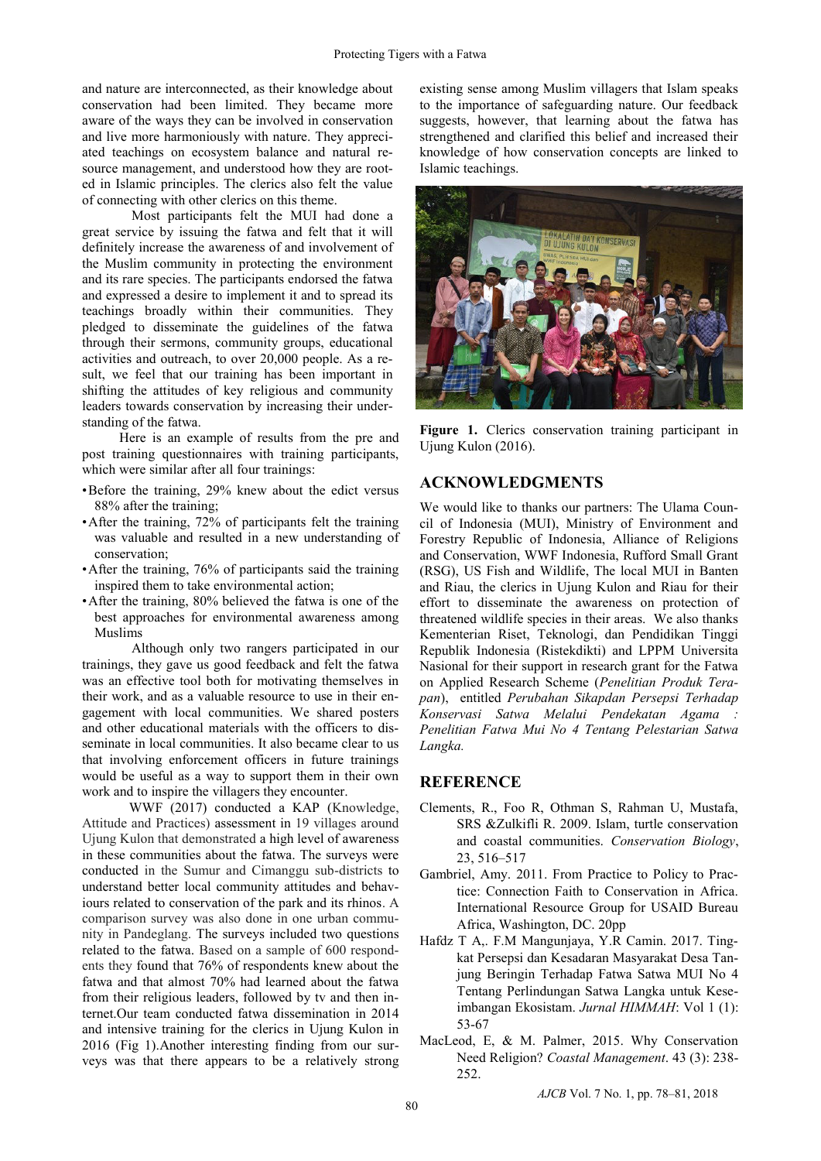and nature are interconnected, as their knowledge about conservation had been limited. They became more aware of the ways they can be involved in conservation and live more harmoniously with nature. They appreciated teachings on ecosystem balance and natural resource management, and understood how they are rooted in Islamic principles. The clerics also felt the value of connecting with other clerics on this theme.

Most participants felt the MUI had done a great service by issuing the fatwa and felt that it will definitely increase the awareness of and involvement of the Muslim community in protecting the environment and its rare species. The participants endorsed the fatwa and expressed a desire to implement it and to spread its teachings broadly within their communities. They pledged to disseminate the guidelines of the fatwa through their sermons, community groups, educational activities and outreach, to over 20,000 people. As a result, we feel that our training has been important in shifting the attitudes of key religious and community leaders towards conservation by increasing their understanding of the fatwa.

Here is an example of results from the pre and post training questionnaires with training participants, which were similar after all four trainings:

- •Before the training, 29% knew about the edict versus 88% after the training;
- •After the training, 72% of participants felt the training was valuable and resulted in a new understanding of conservation;
- After the training, 76% of participants said the training inspired them to take environmental action;
- •After the training, 80% believed the fatwa is one of the best approaches for environmental awareness among Muslims

Although only two rangers participated in our trainings, they gave us good feedback and felt the fatwa was an effective tool both for motivating themselves in their work, and as a valuable resource to use in their engagement with local communities. We shared posters and other educational materials with the officers to disseminate in local communities. It also became clear to us that involving enforcement officers in future trainings would be useful as a way to support them in their own work and to inspire the villagers they encounter.

 WWF (2017) conducted a KAP (Knowledge, Attitude and Practices) assessment in 19 villages around Ujung Kulon that demonstrated a high level of awareness in these communities about the fatwa. The surveys were conducted in the Sumur and Cimanggu sub-districts to understand better local community attitudes and behaviours related to conservation of the park and its rhinos. A comparison survey was also done in one urban community in Pandeglang. The surveys included two questions related to the fatwa. Based on a sample of 600 respondents they found that 76% of respondents knew about the fatwa and that almost 70% had learned about the fatwa from their religious leaders, followed by tv and then internet.Our team conducted fatwa dissemination in 2014 and intensive training for the clerics in Ujung Kulon in 2016 (Fig 1).Another interesting finding from our surveys was that there appears to be a relatively strong existing sense among Muslim villagers that Islam speaks to the importance of safeguarding nature. Our feedback suggests, however, that learning about the fatwa has strengthened and clarified this belief and increased their knowledge of how conservation concepts are linked to Islamic teachings.



Figure 1. Clerics conservation training participant in Ujung Kulon (2016).

## **ACKNOWLEDGMENTS**

We would like to thanks our partners: The Ulama Council of Indonesia (MUI), Ministry of Environment and Forestry Republic of Indonesia, Alliance of Religions and Conservation, WWF Indonesia, Rufford Small Grant (RSG), US Fish and Wildlife, The local MUI in Banten and Riau, the clerics in Ujung Kulon and Riau for their effort to disseminate the awareness on protection of threatened wildlife species in their areas. We also thanks Kementerian Riset, Teknologi, dan Pendidikan Tinggi Republik Indonesia (Ristekdikti) and LPPM Universita Nasional for their support in research grant for the Fatwa on Applied Research Scheme (*Penelitian Produk Terapan*), entitled *Perubahan Sikapdan Persepsi Terhadap Konservasi Satwa Melalui Pendekatan Agama : Penelitian Fatwa Mui No 4 Tentang Pelestarian Satwa Langka.*

#### **REFERENCE**

- Clements, R., Foo R, Othman S, Rahman U, Mustafa, SRS &Zulkifli R. 2009. Islam, turtle conservation and coastal communities. *Conservation Biology*, 23, 516–517
- Gambriel, Amy. 2011. From Practice to Policy to Practice: Connection Faith to Conservation in Africa. International Resource Group for USAID Bureau Africa, Washington, DC. 20pp
- Hafdz T A,. F.M Mangunjaya, Y.R Camin. 2017. Tingkat Persepsi dan Kesadaran Masyarakat Desa Tanjung Beringin Terhadap Fatwa Satwa MUI No 4 Tentang Perlindungan Satwa Langka untuk Keseimbangan Ekosistam. *Jurnal HIMMAH*: Vol 1 (1): 53-67
- MacLeod, E, & M. Palmer, 2015. Why Conservation Need Religion? *Coastal Management*. 43 (3): 238- 252.